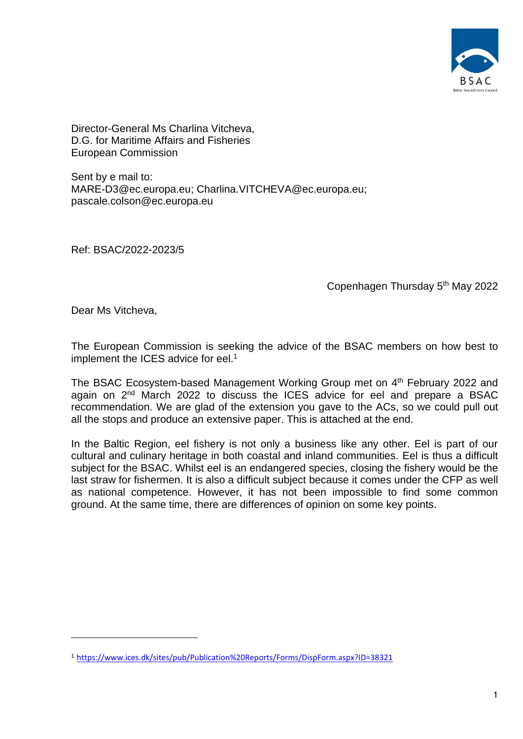

Director-General Ms Charlina Vitcheva, D.G. for Maritime Affairs and Fisheries European Commission

Sent by e mail to: [MARE-D3@ec.europa.eu;](mailto:MARE-D3@ec.europa.eu) [Charlina.VITCHEVA@ec.europa.eu;](mailto:Charlina.VITCHEVA@ec.europa.eu) [pascale.colson@ec.europa.eu](mailto:pacal.colson@ec.europa.eu)

Ref: BSAC/2022-2023/5

Copenhagen Thursday 5th May 2022

Dear Ms Vitcheva,

The European Commission is seeking the advice of the BSAC members on how best to implement the ICES advice for eel. 1

The BSAC Ecosystem-based Management Working Group met on 4<sup>th</sup> February 2022 and again on 2<sup>nd</sup> March 2022 to discuss the ICES advice for eel and prepare a BSAC recommendation. We are glad of the extension you gave to the ACs, so we could pull out all the stops and produce an extensive paper. This is attached at the end.

In the Baltic Region, eel fishery is not only a business like any other. Eel is part of our cultural and culinary heritage in both coastal and inland communities. Eel is thus a difficult subject for the BSAC. Whilst eel is an endangered species, closing the fishery would be the last straw for fishermen. It is also a difficult subject because it comes under the CFP as well as national competence. However, it has not been impossible to find some common ground. At the same time, there are differences of opinion on some key points.

<sup>1</sup> <https://www.ices.dk/sites/pub/Publication%20Reports/Forms/DispForm.aspx?ID=38321>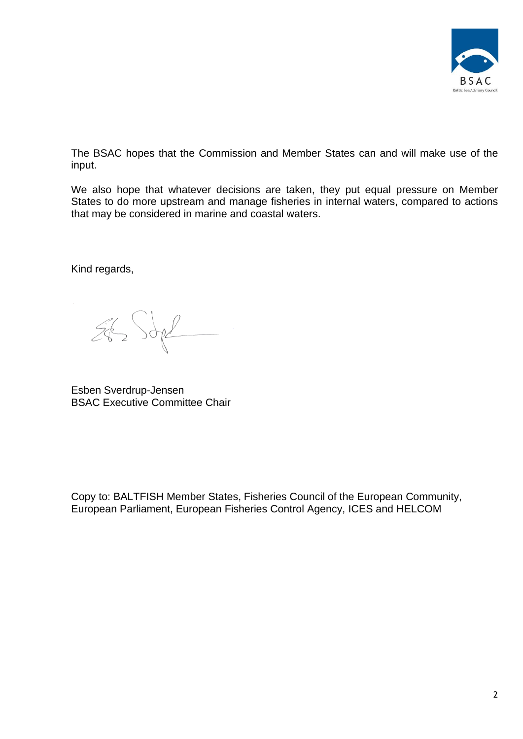

The BSAC hopes that the Commission and Member States can and will make use of the input.

We also hope that whatever decisions are taken, they put equal pressure on Member States to do more upstream and manage fisheries in internal waters, compared to actions that may be considered in marine and coastal waters.

Kind regards,

 $262$  Sope

Esben Sverdrup-Jensen BSAC Executive Committee Chair

Copy to: BALTFISH Member States, Fisheries Council of the European Community, European Parliament, European Fisheries Control Agency, ICES and HELCOM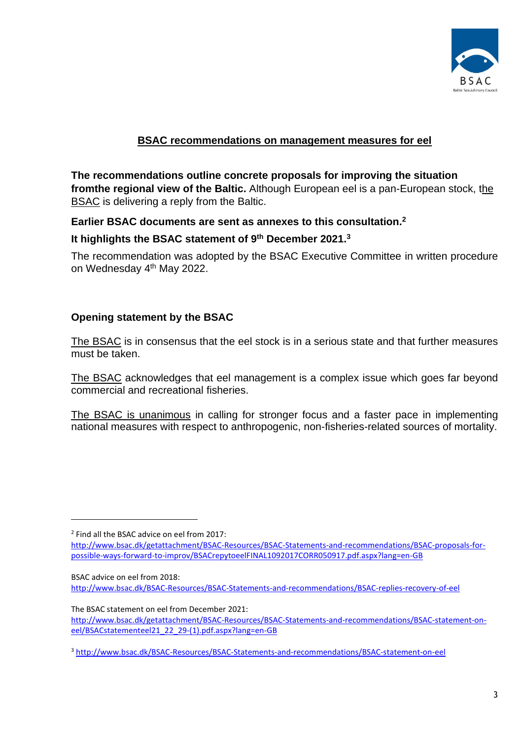

# **BSAC recommendations on management measures for eel**

**The recommendations outline concrete proposals for improving the situation fromthe regional view of the Baltic.** Although European eel is a pan-European stock, the BSAC is delivering a reply from the Baltic.

### **Earlier BSAC documents are sent as annexes to this consultation.<sup>2</sup>**

## **It highlights the BSAC statement of 9th December 2021.<sup>3</sup>**

The recommendation was adopted by the BSAC Executive Committee in written procedure on Wednesday 4<sup>th</sup> May 2022.

## **Opening statement by the BSAC**

The BSAC is in consensus that the eel stock is in a serious state and that further measures must be taken.

The BSAC acknowledges that eel management is a complex issue which goes far beyond commercial and recreational fisheries.

The BSAC is unanimous in calling for stronger focus and a faster pace in implementing national measures with respect to anthropogenic, non-fisheries-related sources of mortality.

<sup>2</sup> Find all the BSAC advice on eel from 2017:

[http://www.bsac.dk/getattachment/BSAC-Resources/BSAC-Statements-and-recommendations/BSAC-proposals-for](http://www.bsac.dk/getattachment/BSAC-Resources/BSAC-Statements-and-recommendations/BSAC-proposals-for-possible-ways-forward-to-improv/BSACrepytoeelFINAL1092017CORR050917.pdf.aspx?lang=en-GB)[possible-ways-forward-to-improv/BSACrepytoeelFINAL1092017CORR050917.pdf.aspx?lang=en-GB](http://www.bsac.dk/getattachment/BSAC-Resources/BSAC-Statements-and-recommendations/BSAC-proposals-for-possible-ways-forward-to-improv/BSACrepytoeelFINAL1092017CORR050917.pdf.aspx?lang=en-GB)

BSAC advice on eel from 2018:

<http://www.bsac.dk/BSAC-Resources/BSAC-Statements-and-recommendations/BSAC-replies-recovery-of-eel>

The BSAC statement on eel from December 2021: [http://www.bsac.dk/getattachment/BSAC-Resources/BSAC-Statements-and-recommendations/BSAC-statement-on](http://www.bsac.dk/getattachment/BSAC-Resources/BSAC-Statements-and-recommendations/BSAC-statement-on-eel/BSACstatementeel21_22_29-(1).pdf.aspx?lang=en-GB)[eel/BSACstatementeel21\\_22\\_29-\(1\).pdf.aspx?lang=en-GB](http://www.bsac.dk/getattachment/BSAC-Resources/BSAC-Statements-and-recommendations/BSAC-statement-on-eel/BSACstatementeel21_22_29-(1).pdf.aspx?lang=en-GB)

<sup>&</sup>lt;sup>3</sup> http://www.bsac.dk/BSAC-Resources/<u>BSAC-Statements-and-recommendations/BSAC-statement-on-eel</u>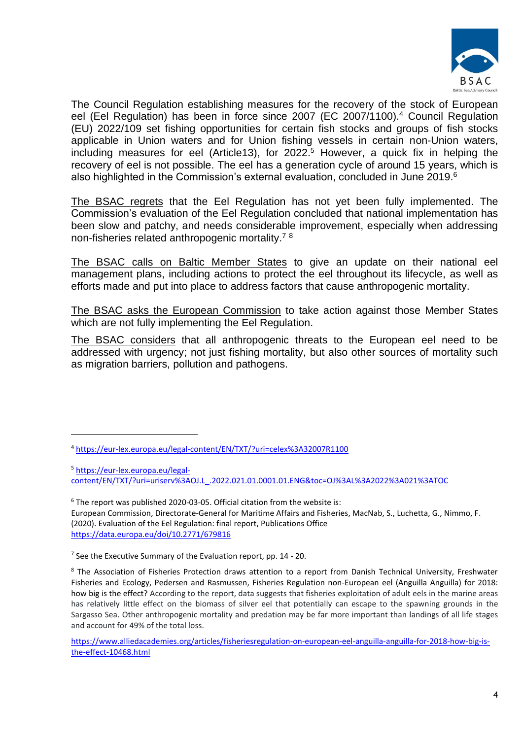

The Council Regulation establishing measures for the recovery of the stock of European eel (Eel Regulation) has been in force since 2007 (EC 2007/1100).<sup>4</sup> Council Regulation (EU) 2022/109 set fishing opportunities for certain fish stocks and groups of fish stocks applicable in Union waters and for Union fishing vessels in certain non-Union waters, including measures for eel (Article13), for 2022. <sup>5</sup> However, a quick fix in helping the recovery of eel is not possible. The eel has a generation cycle of around 15 years, which is also highlighted in the Commission's external evaluation, concluded in June 2019.<sup>6</sup>

The BSAC regrets that the Eel Regulation has not yet been fully implemented. The Commission's evaluation of the Eel Regulation concluded that national implementation has been slow and patchy, and needs considerable improvement, especially when addressing non-fisheries related anthropogenic mortality.<sup>7</sup> <sup>8</sup>

The BSAC calls on Baltic Member States to give an update on their national eel management plans, including actions to protect the eel throughout its lifecycle, as well as efforts made and put into place to address factors that cause anthropogenic mortality.

The BSAC asks the European Commission to take action against those Member States which are not fully implementing the Eel Regulation.

The BSAC considers that all anthropogenic threats to the European eel need to be addressed with urgency; not just fishing mortality, but also other sources of mortality such as migration barriers, pollution and pathogens.

<sup>5</sup> [https://eur-lex.europa.eu/legal-](https://eur-lex.europa.eu/legal-content/EN/TXT/?uri=uriserv%3AOJ.L_.2022.021.01.0001.01.ENG&toc=OJ%3AL%3A2022%3A021%3ATOC)

[content/EN/TXT/?uri=uriserv%3AOJ.L\\_.2022.021.01.0001.01.ENG&toc=OJ%3AL%3A2022%3A021%3ATOC](https://eur-lex.europa.eu/legal-content/EN/TXT/?uri=uriserv%3AOJ.L_.2022.021.01.0001.01.ENG&toc=OJ%3AL%3A2022%3A021%3ATOC)

 $6$  The report was published 2020-03-05. Official citation from the website is:

European Commission, Directorate-General for Maritime Affairs and Fisheries, MacNab, S., Luchetta, G., Nimmo, F. (2020). Evaluation of the Eel Regulation: final report, Publications Office <https://data.europa.eu/doi/10.2771/679816>

<sup>4</sup> <https://eur-lex.europa.eu/legal-content/EN/TXT/?uri=celex%3A32007R1100>

<sup>&</sup>lt;sup>7</sup> See the Executive Summary of the Evaluation report, pp. 14 - 20.

<sup>&</sup>lt;sup>8</sup> The Association of Fisheries Protection draws attention to a report from Danish Technical University, Freshwater Fisheries and Ecology, Pedersen and Rasmussen, Fisheries Regulation non-European eel (Anguilla Anguilla) for 2018: how big is the effect? According to the report, data suggests that fisheries exploitation of adult eels in the marine areas has relatively little effect on the biomass of silver eel that potentially can escape to the spawning grounds in the Sargasso Sea. Other anthropogenic mortality and predation may be far more important than landings of all life stages and account for 49% of the total loss.

[https://www.alliedacademies.org/articles/fisheriesregulation-on-european-eel-anguilla-anguilla-for-2018-how-big-is](https://www.alliedacademies.org/articles/fisheriesregulation-on-european-eel-anguilla-anguilla-for-2018-how-big-is-the-effect-10468.html)[the-effect-10468.html](https://www.alliedacademies.org/articles/fisheriesregulation-on-european-eel-anguilla-anguilla-for-2018-how-big-is-the-effect-10468.html)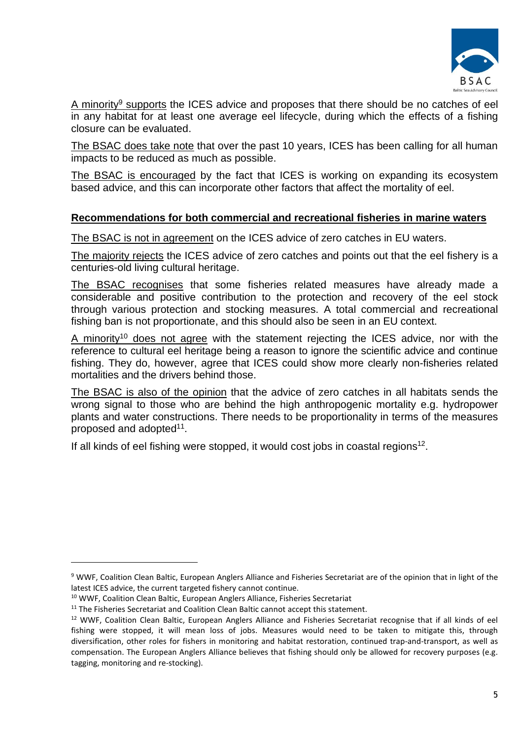

A minority<sup>9</sup> supports the ICES advice and proposes that there should be no catches of eel in any habitat for at least one average eel lifecycle, during which the effects of a fishing closure can be evaluated.

The BSAC does take note that over the past 10 years, ICES has been calling for all human impacts to be reduced as much as possible.

The BSAC is encouraged by the fact that ICES is working on expanding its ecosystem based advice, and this can incorporate other factors that affect the mortality of eel.

### **Recommendations for both commercial and recreational fisheries in marine waters**

The BSAC is not in agreement on the ICES advice of zero catches in EU waters.

The majority rejects the ICES advice of zero catches and points out that the eel fishery is a centuries-old living cultural heritage.

The BSAC recognises that some fisheries related measures have already made a considerable and positive contribution to the protection and recovery of the eel stock through various protection and stocking measures. A total commercial and recreational fishing ban is not proportionate, and this should also be seen in an EU context.

A minority<sup>10</sup> does not agree with the statement rejecting the ICES advice, nor with the reference to cultural eel heritage being a reason to ignore the scientific advice and continue fishing. They do, however, agree that ICES could show more clearly non-fisheries related mortalities and the drivers behind those.

The BSAC is also of the opinion that the advice of zero catches in all habitats sends the wrong signal to those who are behind the high anthropogenic mortality e.g. hydropower plants and water constructions. There needs to be proportionality in terms of the measures proposed and adopted<sup>11</sup>.

If all kinds of eel fishing were stopped, it would cost jobs in coastal regions<sup>12</sup>.

<sup>9</sup> WWF, Coalition Clean Baltic, European Anglers Alliance and Fisheries Secretariat are of the opinion that in light of the latest ICES advice, the current targeted fishery cannot continue.

<sup>10</sup> WWF, Coalition Clean Baltic, European Anglers Alliance, Fisheries Secretariat

<sup>&</sup>lt;sup>11</sup> The Fisheries Secretariat and Coalition Clean Baltic cannot accept this statement.

<sup>&</sup>lt;sup>12</sup> WWF, Coalition Clean Baltic, European Anglers Alliance and Fisheries Secretariat recognise that if all kinds of eel fishing were stopped, it will mean loss of jobs. Measures would need to be taken to mitigate this, through diversification, other roles for fishers in monitoring and habitat restoration, continued trap-and-transport, as well as compensation. The European Anglers Alliance believes that fishing should only be allowed for recovery purposes (e.g. tagging, monitoring and re-stocking).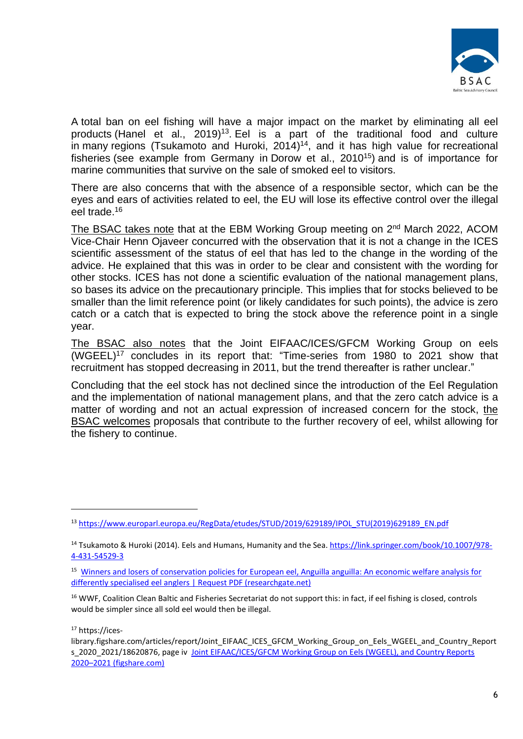

A total ban on eel fishing will have a major impact on the market by eliminating all eel products (Hanel et al.,  $2019)^{13}$ . Eel is a part of the traditional food and culture in many regions (Tsukamoto and Huroki, 2014) <sup>14</sup>, and it has high value for recreational fisheries (see example from Germany in Dorow et al., 2010<sup>15</sup>) and is of importance for marine communities that survive on the sale of smoked eel to visitors.

There are also concerns that with the absence of a responsible sector, which can be the eyes and ears of activities related to eel, the EU will lose its effective control over the illegal eel trade.<sup>16</sup>

The BSAC takes note that at the EBM Working Group meeting on 2<sup>nd</sup> March 2022, ACOM Vice-Chair Henn Ojaveer concurred with the observation that it is not a change in the ICES scientific assessment of the status of eel that has led to the change in the wording of the advice. He explained that this was in order to be clear and consistent with the wording for other stocks. ICES has not done a scientific evaluation of the national management plans, so bases its advice on the precautionary principle. This implies that for stocks believed to be smaller than the limit reference point (or likely candidates for such points), the advice is zero catch or a catch that is expected to bring the stock above the reference point in a single year.

The BSAC also notes that the Joint EIFAAC/ICES/GFCM Working Group on eels (WGEEL)<sup>17</sup> concludes in its report that: "Time-series from 1980 to 2021 show that recruitment has stopped decreasing in 2011, but the trend thereafter is rather unclear."

Concluding that the eel stock has not declined since the introduction of the Eel Regulation and the implementation of national management plans, and that the zero catch advice is a matter of wording and not an actual expression of increased concern for the stock, the BSAC welcomes proposals that contribute to the further recovery of eel, whilst allowing for the fishery to continue.

<sup>17</sup> https://ices-

<sup>13</sup> [https://www.europarl.europa.eu/RegData/etudes/STUD/2019/629189/IPOL\\_STU\(2019\)629189\\_EN.pdf](https://www.europarl.europa.eu/RegData/etudes/STUD/2019/629189/IPOL_STU(2019)629189_EN.pdf)

<sup>&</sup>lt;sup>14</sup> Tsukamoto & Huroki (2014). Eels and Humans, Humanity and the Sea. [https://link.springer.com/book/10.1007/978-](https://link.springer.com/book/10.1007/978-4-431-54529-3) [4-431-54529-3](https://link.springer.com/book/10.1007/978-4-431-54529-3)

<sup>15</sup> [Winners and losers of conservation policies for European eel, Anguilla anguilla: An economic welfare analysis for](https://www.researchgate.net/publication/227644930_Winners_and_losers_of_conservation_policies_for_European_eel_Anguilla_anguilla_An_economic_welfare_analysis_for_differently_specialised_eel_anglers)  [differently specialised eel anglers | Request PDF \(researchgate.net\)](https://www.researchgate.net/publication/227644930_Winners_and_losers_of_conservation_policies_for_European_eel_Anguilla_anguilla_An_economic_welfare_analysis_for_differently_specialised_eel_anglers)

<sup>&</sup>lt;sup>16</sup> WWF, Coalition Clean Baltic and Fisheries Secretariat do not support this: in fact, if eel fishing is closed, controls would be simpler since all sold eel would then be illegal.

library.figshare.com/articles/report/Joint\_EIFAAC\_ICES\_GFCM\_Working\_Group\_on\_Eels\_WGEEL\_and\_Country\_Report s 2020 2021/18620876, page iv Joint EIFAAC/ICES/GFCM Working Group on Eels (WGEEL), and Country Reports 2020–[2021 \(figshare.com\)](https://ices-library.figshare.com/articles/report/Joint_EIFAAC_ICES_GFCM_Working_Group_on_Eels_WGEEL_and_Country_Reports_2020_2021/18620876)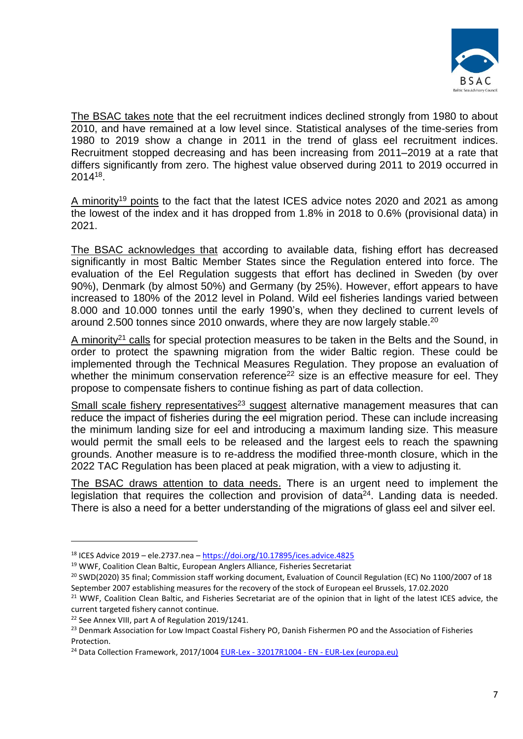

The BSAC takes note that the eel recruitment indices declined strongly from 1980 to about 2010, and have remained at a low level since. Statistical analyses of the time-series from 1980 to 2019 show a change in 2011 in the trend of glass eel recruitment indices. Recruitment stopped decreasing and has been increasing from 2011–2019 at a rate that differs significantly from zero. The highest value observed during 2011 to 2019 occurred in 2014<sup>18</sup> .

A minority<sup>19</sup> points to the fact that the latest ICES advice notes 2020 and 2021 as among the lowest of the index and it has dropped from 1.8% in 2018 to 0.6% (provisional data) in 2021.

The BSAC acknowledges that according to available data, fishing effort has decreased significantly in most Baltic Member States since the Regulation entered into force. The evaluation of the Eel Regulation suggests that effort has declined in Sweden (by over 90%), Denmark (by almost 50%) and Germany (by 25%). However, effort appears to have increased to 180% of the 2012 level in Poland. Wild eel fisheries landings varied between 8.000 and 10.000 tonnes until the early 1990's, when they declined to current levels of around 2.500 tonnes since 2010 onwards, where they are now largely stable.<sup>20</sup>

A minority<sup>21</sup> calls for special protection measures to be taken in the Belts and the Sound, in order to protect the spawning migration from the wider Baltic region. These could be implemented through the Technical Measures Regulation. They propose an evaluation of whether the minimum conservation reference<sup>22</sup> size is an effective measure for eel. They propose to compensate fishers to continue fishing as part of data collection.

Small scale fishery representatives<sup>23</sup> suggest alternative management measures that can reduce the impact of fisheries during the eel migration period. These can include increasing the minimum landing size for eel and introducing a maximum landing size. This measure would permit the small eels to be released and the largest eels to reach the spawning grounds. Another measure is to re-address the modified three-month closure, which in the 2022 TAC Regulation has been placed at peak migration, with a view to adjusting it.

The BSAC draws attention to data needs. There is an urgent need to implement the legislation that requires the collection and provision of data $24$ . Landing data is needed. There is also a need for a better understanding of the migrations of glass eel and silver eel.

<sup>18</sup> ICES Advice 2019 – ele.2737.nea – <https://doi.org/10.17895/ices.advice.4825>

<sup>&</sup>lt;sup>19</sup> WWF, Coalition Clean Baltic, European Anglers Alliance, Fisheries Secretariat

<sup>&</sup>lt;sup>20</sup> SWD(2020) 35 final; Commission staff working document, Evaluation of Council Regulation (EC) No 1100/2007 of 18 September 2007 establishing measures for the recovery of the stock of European eel Brussels, 17.02.2020

<sup>&</sup>lt;sup>21</sup> WWF, Coalition Clean Baltic, and Fisheries Secretariat are of the opinion that in light of the latest ICES advice, the current targeted fishery cannot continue.

<sup>&</sup>lt;sup>22</sup> See Annex VIII, part A of Regulation 2019/1241.

<sup>&</sup>lt;sup>23</sup> Denmark Association for Low Impact Coastal Fishery PO, Danish Fishermen PO and the Association of Fisheries **Protection** 

<sup>&</sup>lt;sup>24</sup> Data Collection Framework, 2017/1004 EUR-Lex - 32017R1004 - EN - [EUR-Lex \(europa.eu\)](https://eur-lex.europa.eu/legal-content/EN/TXT/?uri=CELEX%3A32017R1004)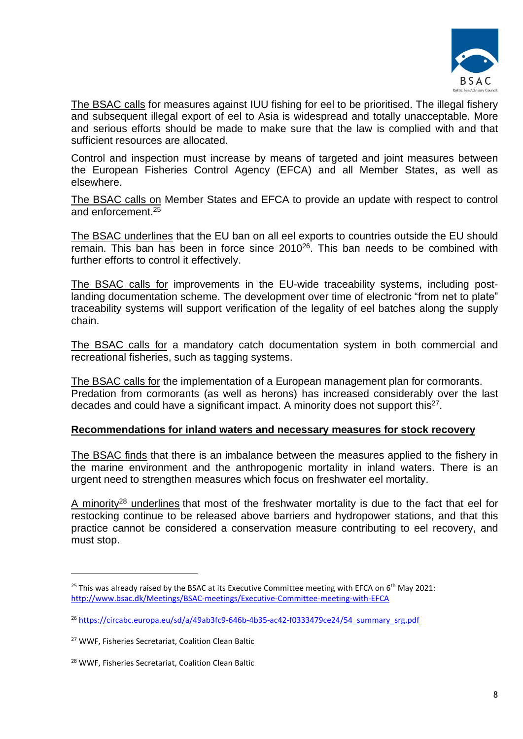

The BSAC calls for measures against IUU fishing for eel to be prioritised. The illegal fishery and subsequent illegal export of eel to Asia is widespread and totally unacceptable. More and serious efforts should be made to make sure that the law is complied with and that sufficient resources are allocated.

Control and inspection must increase by means of targeted and joint measures between the European Fisheries Control Agency (EFCA) and all Member States, as well as elsewhere.

The BSAC calls on Member States and EFCA to provide an update with respect to control and enforcement <sup>25</sup>

The BSAC underlines that the EU ban on all eel exports to countries outside the EU should remain. This ban has been in force since 2010<sup>26</sup>. This ban needs to be combined with further efforts to control it effectively.

The BSAC calls for improvements in the EU-wide traceability systems, including postlanding documentation scheme. The development over time of electronic "from net to plate" traceability systems will support verification of the legality of eel batches along the supply chain.

The BSAC calls for a mandatory catch documentation system in both commercial and recreational fisheries, such as tagging systems.

The BSAC calls for the implementation of a European management plan for cormorants. Predation from cormorants (as well as herons) has increased considerably over the last decades and could have a significant impact. A minority does not support this $^{27}$ .

### **Recommendations for inland waters and necessary measures for stock recovery**

The BSAC finds that there is an imbalance between the measures applied to the fishery in the marine environment and the anthropogenic mortality in inland waters. There is an urgent need to strengthen measures which focus on freshwater eel mortality.

A minority<sup>28</sup> underlines that most of the freshwater mortality is due to the fact that eel for restocking continue to be released above barriers and hydropower stations, and that this practice cannot be considered a conservation measure contributing to eel recovery, and must stop.

<sup>&</sup>lt;sup>25</sup> This was already raised by the BSAC at its Executive Committee meeting with EFCA on  $6<sup>th</sup>$  May 2021: <http://www.bsac.dk/Meetings/BSAC-meetings/Executive-Committee-meeting-with-EFCA>

<sup>&</sup>lt;sup>26</sup> [https://circabc.europa.eu/sd/a/49ab3fc9-646b-4b35-ac42-f0333479ce24/54\\_summary\\_srg.pdf](https://circabc.europa.eu/sd/a/49ab3fc9-646b-4b35-ac42-f0333479ce24/54_summary_srg.pdf)

<sup>27</sup> WWF, Fisheries Secretariat, Coalition Clean Baltic

<sup>28</sup> WWF, Fisheries Secretariat, Coalition Clean Baltic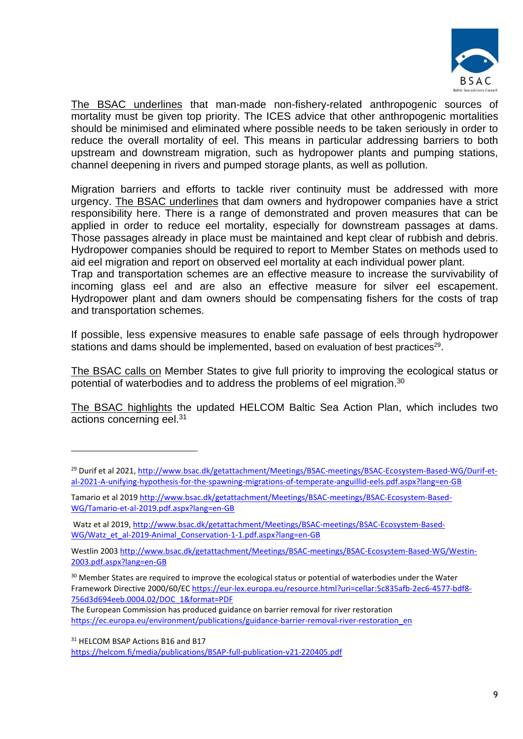

The BSAC underlines that man-made non-fishery-related anthropogenic sources of mortality must be given top priority. The ICES advice that other anthropogenic mortalities should be minimised and eliminated where possible needs to be taken seriously in order to reduce the overall mortality of eel. This means in particular addressing barriers to both upstream and downstream migration, such as hydropower plants and pumping stations, channel deepening in rivers and pumped storage plants, as well as pollution.

Migration barriers and efforts to tackle river continuity must be addressed with more urgency. The BSAC underlines that dam owners and hydropower companies have a strict responsibility here. There is a range of demonstrated and proven measures that can be applied in order to reduce eel mortality, especially for downstream passages at dams. Those passages already in place must be maintained and kept clear of rubbish and debris. Hydropower companies should be required to report to Member States on methods used to aid eel migration and report on observed eel mortality at each individual power plant.

Trap and transportation schemes are an effective measure to increase the survivability of incoming glass eel and are also an effective measure for silver eel escapement. Hydropower plant and dam owners should be compensating fishers for the costs of trap and transportation schemes.

If possible, less expensive measures to enable safe passage of eels through hydropower stations and dams should be implemented, based on evaluation of best practices<sup>29</sup>.

The BSAC calls on Member States to give full priority to improving the ecological status or potential of waterbodies and to address the problems of eel migration.<sup>30</sup>

The BSAC highlights the updated HELCOM Baltic Sea Action Plan, which includes two actions concerning eel.<sup>31</sup>

<sup>&</sup>lt;sup>29</sup> Durif et al 2021, [http://www.bsac.dk/getattachment/Meetings/BSAC-meetings/BSAC-Ecosystem-Based-WG/Durif-et](http://www.bsac.dk/getattachment/Meetings/BSAC-meetings/BSAC-Ecosystem-Based-WG/Durif-et-al-2021-A-unifying-hypothesis-for-the-spawning-migrations-of-temperate-anguillid-eels.pdf.aspx?lang=en-GB)[al-2021-A-unifying-hypothesis-for-the-spawning-migrations-of-temperate-anguillid-eels.pdf.aspx?lang=en-GB](http://www.bsac.dk/getattachment/Meetings/BSAC-meetings/BSAC-Ecosystem-Based-WG/Durif-et-al-2021-A-unifying-hypothesis-for-the-spawning-migrations-of-temperate-anguillid-eels.pdf.aspx?lang=en-GB)

Tamario et al 2019 [http://www.bsac.dk/getattachment/Meetings/BSAC-meetings/BSAC-Ecosystem-Based-](http://www.bsac.dk/getattachment/Meetings/BSAC-meetings/BSAC-Ecosystem-Based-WG/Tamario-et-al-2019.pdf.aspx?lang=en-GB)[WG/Tamario-et-al-2019.pdf.aspx?lang=en-GB](http://www.bsac.dk/getattachment/Meetings/BSAC-meetings/BSAC-Ecosystem-Based-WG/Tamario-et-al-2019.pdf.aspx?lang=en-GB)

Watz et al 2019[, http://www.bsac.dk/getattachment/Meetings/BSAC-meetings/BSAC-Ecosystem-Based-](http://www.bsac.dk/getattachment/Meetings/BSAC-meetings/BSAC-Ecosystem-Based-WG/Watz_et_al-2019-Animal_Conservation-1-1.pdf.aspx?lang=en-GB)[WG/Watz\\_et\\_al-2019-Animal\\_Conservation-1-1.pdf.aspx?lang=en-GB](http://www.bsac.dk/getattachment/Meetings/BSAC-meetings/BSAC-Ecosystem-Based-WG/Watz_et_al-2019-Animal_Conservation-1-1.pdf.aspx?lang=en-GB)

Westlin 2003 [http://www.bsac.dk/getattachment/Meetings/BSAC-meetings/BSAC-Ecosystem-Based-WG/Westin-](http://www.bsac.dk/getattachment/Meetings/BSAC-meetings/BSAC-Ecosystem-Based-WG/Westin-2003.pdf.aspx?lang=en-GB)[2003.pdf.aspx?lang=en-GB](http://www.bsac.dk/getattachment/Meetings/BSAC-meetings/BSAC-Ecosystem-Based-WG/Westin-2003.pdf.aspx?lang=en-GB)

<sup>&</sup>lt;sup>30</sup> Member States are required to improve the ecological status or potential of waterbodies under the Water Framework Directive 2000/60/EC [https://eur-lex.europa.eu/resource.html?uri=cellar:5c835afb-2ec6-4577-bdf8-](https://eur-lex.europa.eu/resource.html?uri=cellar:5c835afb-2ec6-4577-bdf8-756d3d694eeb.0004.02/DOC_1&format=PDF) [756d3d694eeb.0004.02/DOC\\_1&format=PDF](https://eur-lex.europa.eu/resource.html?uri=cellar:5c835afb-2ec6-4577-bdf8-756d3d694eeb.0004.02/DOC_1&format=PDF)

The European Commission has produced guidance on barrier removal for river restoration [https://ec.europa.eu/environment/publications/guidance-barrier-removal-river-restoration\\_en](https://ec.europa.eu/environment/publications/guidance-barrier-removal-river-restoration_en)

<sup>&</sup>lt;sup>31</sup> HELCOM BSAP Actions B16 and B17

<https://helcom.fi/media/publications/BSAP-full-publication-v21-220405.pdf>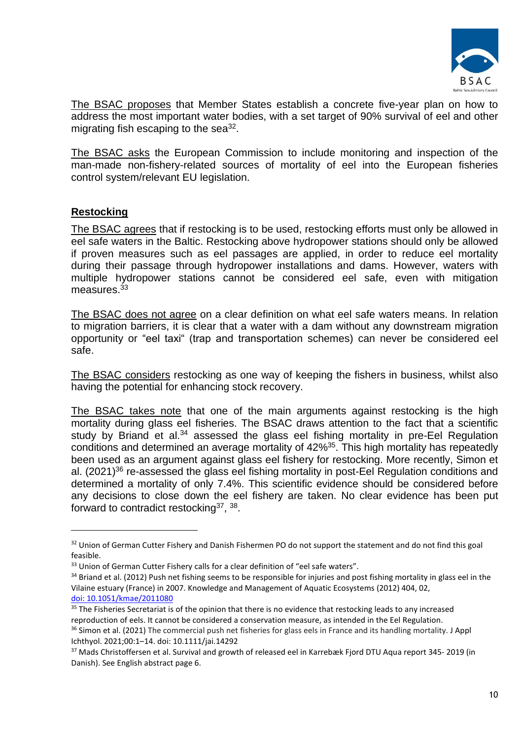

The BSAC proposes that Member States establish a concrete five-year plan on how to address the most important water bodies, with a set target of 90% survival of eel and other migrating fish escaping to the sea $32$ .

The BSAC asks the European Commission to include monitoring and inspection of the man-made non-fishery-related sources of mortality of eel into the European fisheries control system/relevant EU legislation.

## **Restocking**

The BSAC agrees that if restocking is to be used, restocking efforts must only be allowed in eel safe waters in the Baltic. Restocking above hydropower stations should only be allowed if proven measures such as eel passages are applied, in order to reduce eel mortality during their passage through hydropower installations and dams. However, waters with multiple hydropower stations cannot be considered eel safe, even with mitigation measures.<sup>33</sup>

The BSAC does not agree on a clear definition on what eel safe waters means. In relation to migration barriers, it is clear that a water with a dam without any downstream migration opportunity or "eel taxi" (trap and transportation schemes) can never be considered eel safe.

The BSAC considers restocking as one way of keeping the fishers in business, whilst also having the potential for enhancing stock recovery.

The BSAC takes note that one of the main arguments against restocking is the high mortality during glass eel fisheries. The BSAC draws attention to the fact that a scientific study by Briand et al.<sup>34</sup> assessed the glass eel fishing mortality in pre-Eel Regulation conditions and determined an average mortality of 42%<sup>35</sup>. This high mortality has repeatedly been used as an argument against glass eel fishery for restocking. More recently, Simon et al. (2021)<sup>36</sup> re-assessed the glass eel fishing mortality in post-Eel Regulation conditions and determined a mortality of only 7.4%. This scientific evidence should be considered before any decisions to close down the eel fishery are taken. No clear evidence has been put forward to contradict restocking<sup>37</sup>, <sup>38</sup>.

Ichthyol. 2021;00:1–14. doi: 10.1111/jai.14292

<sup>&</sup>lt;sup>32</sup> Union of German Cutter Fishery and Danish Fishermen PO do not support the statement and do not find this goal feasible.

<sup>&</sup>lt;sup>33</sup> Union of German Cutter Fishery calls for a clear definition of "eel safe waters".

<sup>&</sup>lt;sup>34</sup> Briand et al. (2012) Push net fishing seems to be responsible for injuries and post fishing mortality in glass eel in the Vilaine estuary (France) in 2007. Knowledge and Management of Aquatic Ecosystems (2012) 404, 02, [doi: 10.1051/kmae/2011080](https://doi.org/10.1051/kmae/2011080)

<sup>&</sup>lt;sup>35</sup> The Fisheries Secretariat is of the opinion that there is no evidence that restocking leads to any increased reproduction of eels. It cannot be considered a conservation measure, as intended in the Eel Regulation. <sup>36</sup> Simon et al. (2021) The commercial push net fisheries for glass eels in France and its handling mortality. J Appl

<sup>&</sup>lt;sup>37</sup> Mads Christoffersen et al. Survival and growth of released eel in Karrebæk Fiord DTU Aqua report 345- 2019 (in Danish). See English abstract page 6.